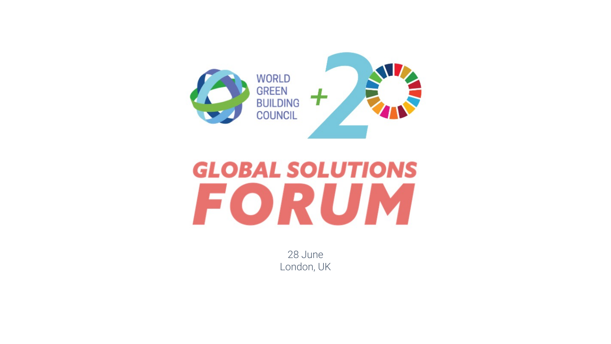

## **GLOBAL SOLUTIONS** FORUM

28 June London, UK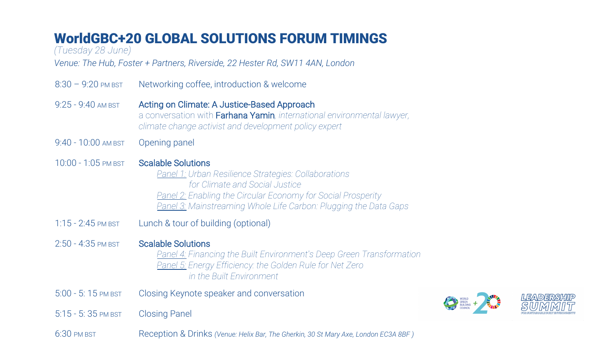## WorldGBC+20 GLOBAL SOLUTIONS FORUM TIMINGS

*(Tuesday 28 June)*

*Venue: The Hub, Foster + Partners, Riverside, 22 Hester Rd, SW11 4AN, London* 

8:30 – 9:20 PM BST Networking coffee, introduction & welcome 9:25 - 9:40 AM BST Acting on Climate: A Justice-Based Approach a conversation with Farhana Yamin*, international environmental lawyer, climate change activist and development policy expert* 9:40 - 10:00 AM BST Opening panel 10:00 - 1:05 PM BST Scalable Solutions *Panel 1: Urban Resilience Strategies: Collaborations for Climate and Social Justice Panel 2: Enabling the Circular Economy for Social Prosperity Panel 3: Mainstreaming Whole Life Carbon: Plugging the Data Gaps* 1:15 - 2:45 PM BST Lunch & tour of building (optional) 2:50 - 4:35 PM BST Scalable Solutions *Panel 4: Financing the Built Environment's Deep Green Transformation Panel 5: Energy Efficiency: the Golden Rule for Net Zero in the Built Environment* 5:00 - 5: 15 PM BST Closing Keynote speaker and conversation **EXERCISE AND STREET AND STREET AND STREET AND STREET AND STREET AND STREET AND STREET AND STREET AND STREET AND STREET AND STREET AND STREET AND STREET AND STREET AND STREET AND STREET AND STREET AND STREET AND STREET AND** 5:15 - 5: 35 PM BST Closing Panel 6:30 PM BST Reception & Drinks *(Venue: Helix Bar, The Gherkin, 30 St Mary Axe, London EC3A 8BF )*